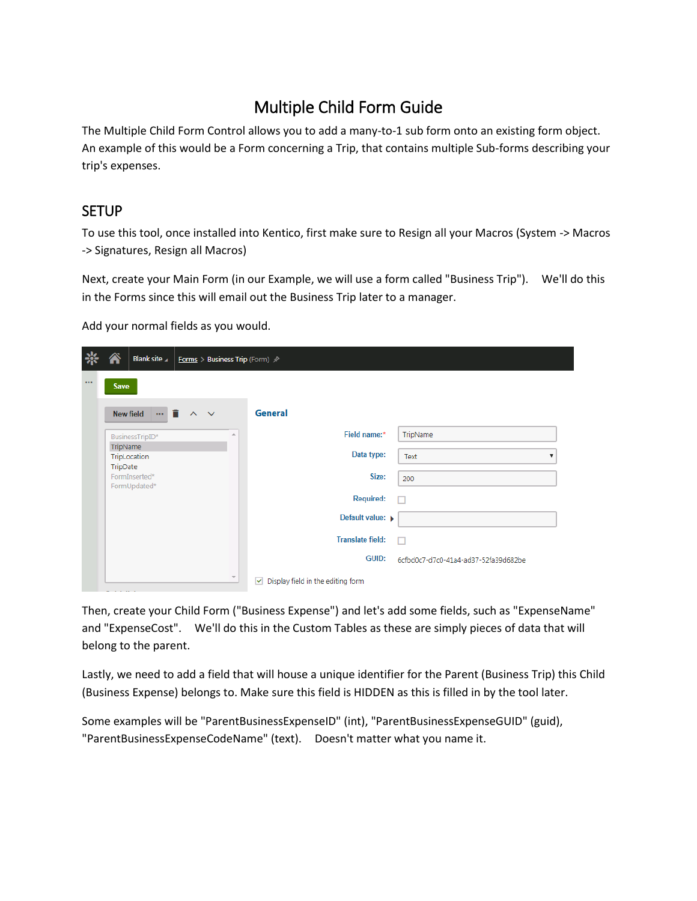# Multiple Child Form Guide

The Multiple Child Form Control allows you to add a many-to-1 sub form onto an existing form object. An example of this would be a Form concerning a Trip, that contains multiple Sub-forms describing your trip's expenses.

### **SETUP**

To use this tool, once installed into Kentico, first make sure to Resign all your Macros (System -> Macros -> Signatures, Resign all Macros)

Next, create your Main Form (in our Example, we will use a form called "Business Trip"). We'll do this in the Forms since this will email out the Business Trip later to a manager.

Add your normal fields as you would.

|          | Blank site<br><b>Forms</b> > Business Trip (Form) $\mathcal{P}$ |                         |                                                    |                                      |
|----------|-----------------------------------------------------------------|-------------------------|----------------------------------------------------|--------------------------------------|
| $\cdots$ | <b>Save</b>                                                     |                         |                                                    |                                      |
|          | $-1$<br>New field<br>$\lambda$<br>$\checkmark$                  |                         | General                                            |                                      |
|          | BusinessTripID*                                                 | ∸                       | Field name:*                                       | TripName                             |
|          | TripName<br>TripLocation                                        |                         | Data type:                                         | Text                                 |
|          | TripDate<br>FormInserted*<br>FormUpdated*                       |                         | Size:                                              | 200                                  |
|          |                                                                 |                         | <b>Required:</b>                                   |                                      |
|          |                                                                 |                         | Default value: >                                   |                                      |
|          |                                                                 |                         | <b>Translate field:</b>                            |                                      |
|          |                                                                 |                         | <b>GUID:</b>                                       | 6cfbd0c7-d7c0-41a4-ad37-52fa39d682be |
|          |                                                                 | $\overline{\mathbf{v}}$ | $\triangleright$ Display field in the editing form |                                      |

Then, create your Child Form ("Business Expense") and let's add some fields, such as "ExpenseName" and "ExpenseCost". We'll do this in the Custom Tables as these are simply pieces of data that will belong to the parent.

Lastly, we need to add a field that will house a unique identifier for the Parent (Business Trip) this Child (Business Expense) belongs to. Make sure this field is HIDDEN as this is filled in by the tool later.

Some examples will be "ParentBusinessExpenseID" (int), "ParentBusinessExpenseGUID" (guid), "ParentBusinessExpenseCodeName" (text). Doesn't matter what you name it.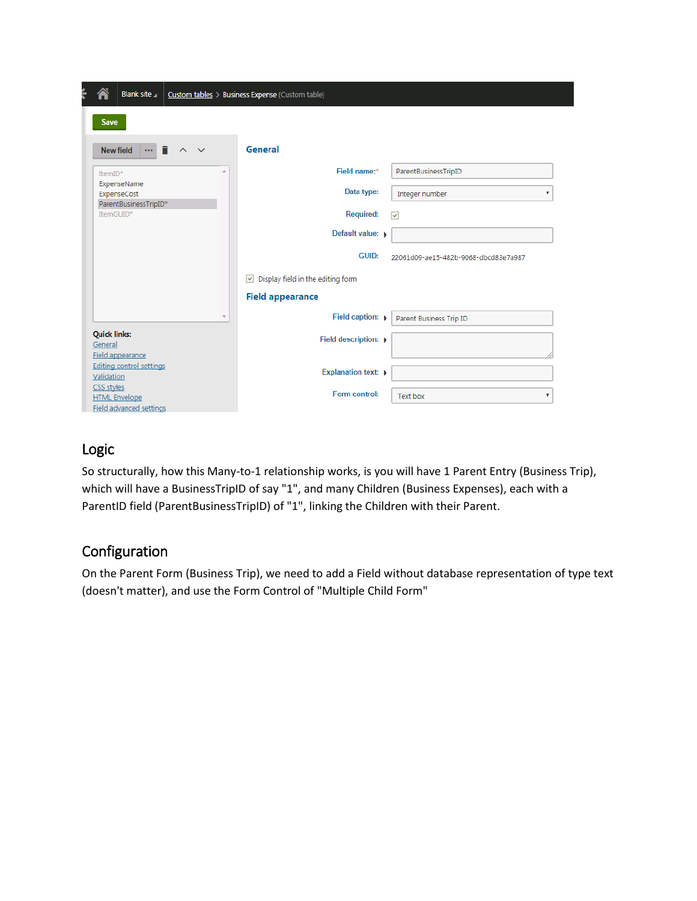|                                | Blank site                                      |                          |                         | Custom tables > Business Expense (Custom table)         |
|--------------------------------|-------------------------------------------------|--------------------------|-------------------------|---------------------------------------------------------|
| <b>Save</b>                    |                                                 |                          |                         |                                                         |
|                                | n<br><b>New field</b><br>$\cdots$               | $\wedge$<br>$\checkmark$ |                         | General                                                 |
| ItemID*                        |                                                 |                          | A                       | Field name:*<br>ParentBusinessTripID                    |
|                                | ExpenseName<br>ExpenseCost                      |                          |                         | Data type:<br>Integer number<br>▼                       |
| ItemGUID*                      | ParentBusinessTripID*                           |                          |                         | <b>Required:</b><br>$\overline{\mathbf{v}}$             |
|                                |                                                 |                          |                         | Default value: >                                        |
|                                |                                                 |                          |                         | GUID:<br>22061d09-ae15-482b-9068-dbcd83e7a987           |
|                                |                                                 |                          |                         | $\vee$ Display field in the editing form                |
|                                |                                                 |                          |                         | <b>Field appearance</b>                                 |
|                                |                                                 |                          | $\overline{\mathbf{v}}$ | Field caption: $\rightarrow$<br>Parent Business Trip ID |
| <b>Quick links:</b><br>General |                                                 |                          |                         | Field description: $\rightarrow$                        |
|                                | Field appearance                                |                          |                         |                                                         |
| Validation                     | <b>Editing control settings</b>                 |                          |                         | <b>Explanation text: ▶</b>                              |
| CSS styles                     | <b>HTML Envelope</b><br>Field advanced settings |                          |                         | Form control:<br>Text box<br>▼                          |

### Logic

So structurally, how this Many-to-1 relationship works, is you will have 1 Parent Entry (Business Trip), which will have a BusinessTripID of say "1", and many Children (Business Expenses), each with a ParentID field (ParentBusinessTripID) of "1", linking the Children with their Parent.

## Configuration

On the Parent Form (Business Trip), we need to add a Field without database representation of type text (doesn't matter), and use the Form Control of "Multiple Child Form"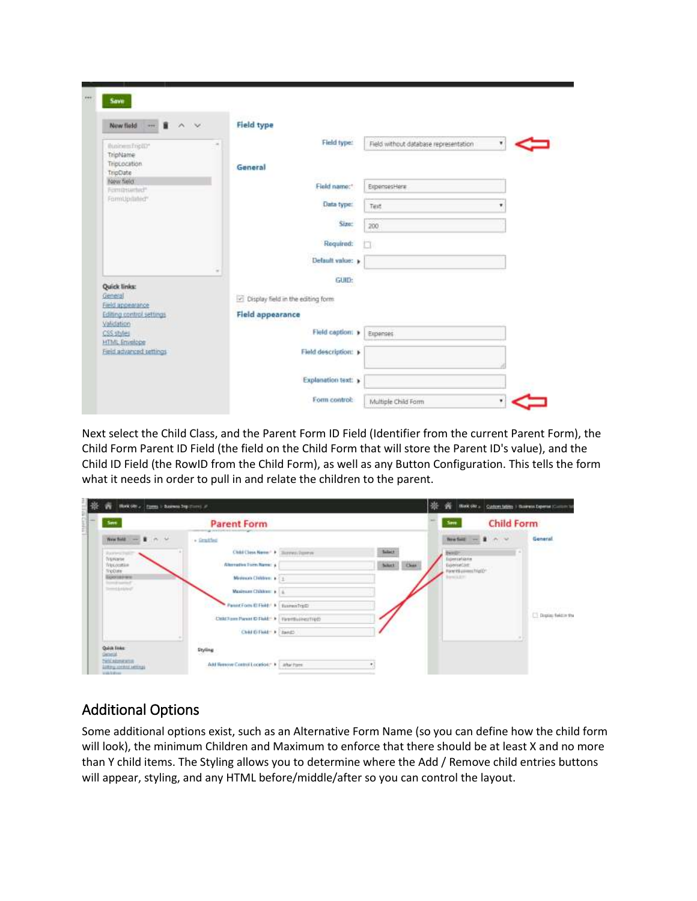| $-1$ $+$ $+$<br>New field                        | <b>Field type</b>                  |                                       |   |
|--------------------------------------------------|------------------------------------|---------------------------------------|---|
| BusinessTripID*                                  | Field type:<br>$\sim$              | Field without database representation | ۷ |
| TripName<br>TripLocation                         | General                            |                                       |   |
| TripDate                                         |                                    |                                       |   |
| New field<br>Fernitrianted"                      | Field name:"                       | ExpensesHere                          |   |
| FormUpdated*                                     | Data type:                         | Text                                  | ٠ |
|                                                  | Size:                              | 200                                   |   |
|                                                  | Required:                          | m                                     |   |
|                                                  | Default value: »                   |                                       |   |
| Quick links:                                     | $\alpha$<br>GUID:                  |                                       |   |
| General<br>Field appearance                      | Cisplay field in the editing form. |                                       |   |
| Editing control settings<br>Validation           | <b>Field appearance</b>            |                                       |   |
| CSS styles                                       | Field caption: »                   | Expenses                              |   |
| <b>HTML</b> Emissiope<br>Field advanced settings | Field description: »               |                                       |   |
|                                                  |                                    |                                       |   |

Next select the Child Class, and the Parent Form ID Field (Identifier from the current Parent Form), the Child Form Parent ID Field (the field on the Child Form that will store the Parent ID's value), and the Child ID Field (the RowID from the Child Form), as well as any Button Configuration. This tells the form what it needs in order to pull in and relate the children to the parent.

| w                                                 | Hork 600 and Figures in Examine Trip (form) and                                                |                                                      | 崇 | w                                                                     |                   | MAK (At  Quiterclubby 1 Raimets Expense (Custom to |
|---------------------------------------------------|------------------------------------------------------------------------------------------------|------------------------------------------------------|---|-----------------------------------------------------------------------|-------------------|----------------------------------------------------|
| Save<br>B)                                        | <b>Parent Form</b><br>up and providence area                                                   |                                                      |   | Sm                                                                    | <b>Child Form</b> |                                                    |
| <b>Rawlers</b> Pall                               | Weather and British Mr.<br>+ Smalled<br>A SHIP CHARLES AND                                     | <b>Salary</b><br>Child Class Name: + Illinois States |   | <b>Three Social</b><br>THYSET                                         | <b>CONTRACTOR</b> | General<br>94. A B A                               |
| husse.<br>Weldoltin<br>findate.<br>Бротание       | Alternative Form Name: 4<br>Meirice Clobben + C+                                               | School<br><b>Clust</b>                               |   | Expensations<br>Euroscian:<br>Percent consecutive Co.<br>Barnis, Etc. |                   |                                                    |
| <b>Instrument</b><br><b>Templeton</b>             | <b>Maximum Children: a</b><br>-900                                                             |                                                      |   |                                                                       |                   |                                                    |
|                                                   | Panist Form El Field: A   Europeithatti<br>Call Form Parent @ Flekt * > Electricines made      |                                                      |   |                                                                       |                   | <b>Digite: faktor the</b>                          |
|                                                   | Child IS Field - A Taxista                                                                     |                                                      |   |                                                                       |                   |                                                    |
| Quick Evies:<br>Gineal.<br><b>Skill abmirance</b> | Styling<br>1999-11-01                                                                          |                                                      |   |                                                                       |                   |                                                    |
| <b>WARRANTEE</b>                                  | <b>Carried</b><br>Add Reserve Control Location," P. Labeltone<br><b><i>URPAIDENT METAL</i></b> |                                                      |   |                                                                       |                   |                                                    |

# Additional Options

Some additional options exist, such as an Alternative Form Name (so you can define how the child form will look), the minimum Children and Maximum to enforce that there should be at least X and no more than Y child items. The Styling allows you to determine where the Add / Remove child entries buttons will appear, styling, and any HTML before/middle/after so you can control the layout.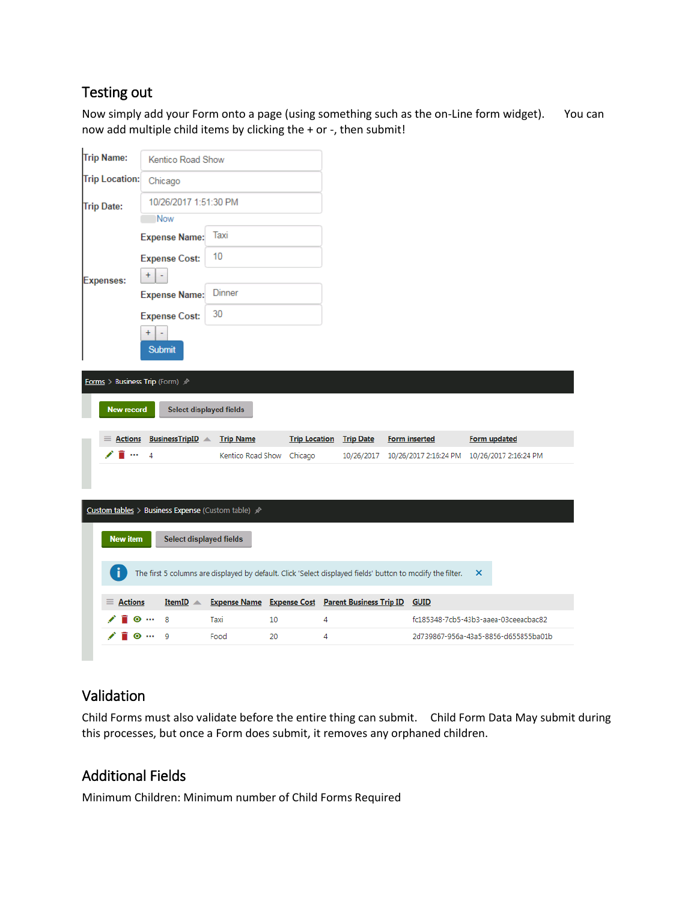### Testing out

Now simply add your Form onto a page (using something such as the on-Line form widget). You can now add multiple child items by clicking the + or -, then submit!

| Trip Name:                                                                                                      | Kentico Road Show                                  |                                                   |                      |                  |                                                        |                                      |  |  |
|-----------------------------------------------------------------------------------------------------------------|----------------------------------------------------|---------------------------------------------------|----------------------|------------------|--------------------------------------------------------|--------------------------------------|--|--|
| <b>Trip Location:</b>                                                                                           | Chicago                                            |                                                   |                      |                  |                                                        |                                      |  |  |
| <b>Trip Date:</b>                                                                                               | 10/26/2017 1:51:30 PM                              |                                                   |                      |                  |                                                        |                                      |  |  |
|                                                                                                                 | Now                                                |                                                   |                      |                  |                                                        |                                      |  |  |
|                                                                                                                 | <b>Expense Name:</b>                               | Taxi                                              |                      |                  |                                                        |                                      |  |  |
|                                                                                                                 | <b>Expense Cost:</b>                               | 10                                                |                      |                  |                                                        |                                      |  |  |
| <b>Expenses:</b>                                                                                                | $\ddot{}$<br>÷,                                    |                                                   |                      |                  |                                                        |                                      |  |  |
|                                                                                                                 | <b>Expense Name:</b>                               | Dinner                                            |                      |                  |                                                        |                                      |  |  |
|                                                                                                                 | <b>Expense Cost:</b>                               | 30                                                |                      |                  |                                                        |                                      |  |  |
|                                                                                                                 | ÷<br><b>Submit</b>                                 |                                                   |                      |                  |                                                        |                                      |  |  |
| Forms > Business Trip (Form) /                                                                                  |                                                    |                                                   |                      |                  |                                                        |                                      |  |  |
| <b>New record</b>                                                                                               | Select displayed fields                            |                                                   |                      |                  |                                                        |                                      |  |  |
| <b>Actions</b>                                                                                                  | <b>BusinessTripID</b> $\triangle$                  | <b>Trip Name</b>                                  | <b>Trip Location</b> | <b>Trip Date</b> | <b>Form inserted</b>                                   | <b>Form updated</b>                  |  |  |
|                                                                                                                 | 4                                                  | Kentico Road Show Chicago                         |                      |                  | 10/26/2017 10/26/2017 2:16:24 PM 10/26/2017 2:16:24 PM |                                      |  |  |
|                                                                                                                 |                                                    |                                                   |                      |                  |                                                        |                                      |  |  |
|                                                                                                                 | Custom tables > Business Expense (Custom table) >> |                                                   |                      |                  |                                                        |                                      |  |  |
| Select displayed fields<br><b>New item</b>                                                                      |                                                    |                                                   |                      |                  |                                                        |                                      |  |  |
| The first 5 columns are displayed by default. Click 'Select displayed fields' button to modify the filter.<br>× |                                                    |                                                   |                      |                  |                                                        |                                      |  |  |
|                                                                                                                 |                                                    |                                                   |                      |                  |                                                        |                                      |  |  |
| $\equiv$ Actions                                                                                                | ItemID A                                           | Expense Name Expense Cost Parent Business Trip ID |                      |                  | <b>GUID</b>                                            |                                      |  |  |
|                                                                                                                 | 8<br>⊙ …                                           | Taxi                                              | 10                   | 4                |                                                        | fc185348-7cb5-43b3-aaea-03ceeacbac82 |  |  |
|                                                                                                                 | 9<br>… ⊚                                           | Food                                              | 20                   | 4                |                                                        | 2d739867-956a-43a5-8856-d655855ba01b |  |  |

### Validation

Child Forms must also validate before the entire thing can submit. Child Form Data May submit during this processes, but once a Form does submit, it removes any orphaned children.

### Additional Fields

Minimum Children: Minimum number of Child Forms Required